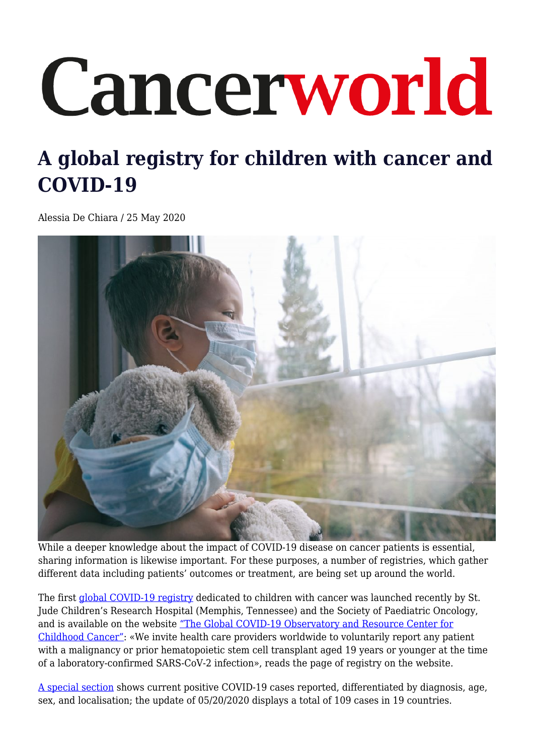## Cancerworld

## **A global registry for children with cancer and COVID-19**

Alessia De Chiara / 25 May 2020



While a deeper knowledge about the impact of COVID-19 disease on cancer patients is essential, sharing information is likewise important. For these purposes, a number of registries, which gather different data including patients' outcomes or treatment, are being set up around the world.

The first [global COVID-19 registry](https://global.stjude.org/en-us/global-covid-19-observatory-and-resource-center-for-childhood-cancer/registry.html) dedicated to children with cancer was launched recently by St. Jude Children's Research Hospital (Memphis, Tennessee) and the Society of Paediatric Oncology, and is available on the website ["The Global COVID-19 Observatory and Resource Center for](https://global.stjude.org/en-us/global-covid-19-observatory-and-resource-center-for-childhood-cancer.html) [Childhood Cancer":](https://global.stjude.org/en-us/global-covid-19-observatory-and-resource-center-for-childhood-cancer.html) «We invite health care providers worldwide to voluntarily report any patient with a malignancy or prior hematopoietic stem cell transplant aged 19 years or younger at the time of a laboratory-confirmed SARS-CoV-2 infection», reads the page of registry on the website.

[A special section](https://app.powerbi.com/view?r=eyJrIjoiNGQ3NDAwZDItYjRjNi00MjNhLWE2NTMtNmFjNmU1YTgzZDMwIiwidCI6IjIyMzQwZmE4LTkyMjYtNDg3MS1iNjc3LWQzYjNlMzc3YWY3MiIsImMiOjN9) shows current positive COVID-19 cases reported, differentiated by diagnosis, age, sex, and localisation; the update of 05/20/2020 displays a total of 109 cases in 19 countries.